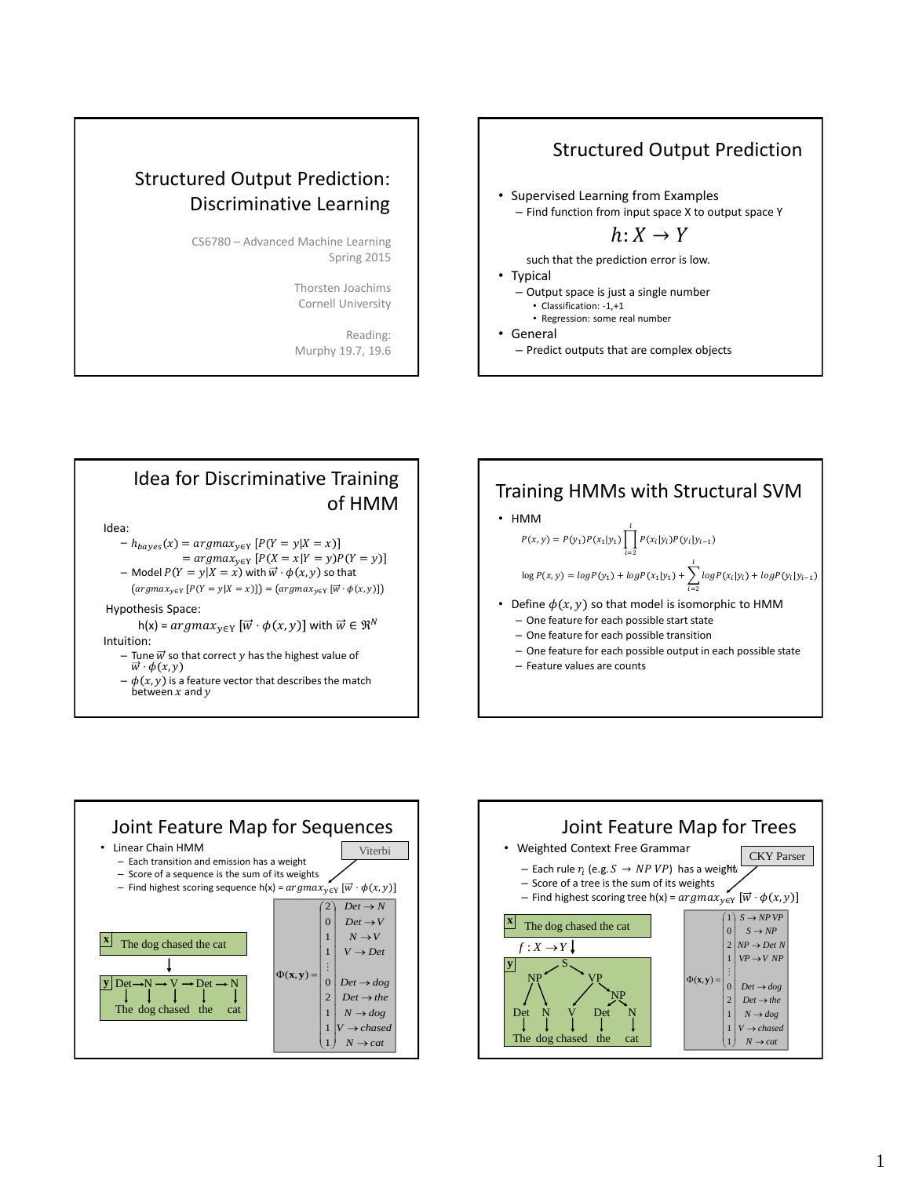# Structured Output Prediction: Discriminative Learning

CS6780 – Advanced Machine Learning Spring 2015

> Thorsten Joachims Cornell University

Reading: Murphy 19.7, 19.6

### Structured Output Prediction

• Supervised Learning from Examples – Find function from input space X to output space Y

 $h: X \rightarrow Y$ 

such that the prediction error is low.

- Typical
	- Output space is just a single number
	- Classification: -1,+1 • Regression: some real number

• General

– Predict outputs that are complex objects



- $= argmax_{y \in Y} [P(X = x | Y = y) P(Y = y)]$
- Model  $P(Y = y | X = x)$  with  $\vec{w} \cdot \phi(x, y)$  so that

 $(argmax_{y \in Y} [P(Y = y | X = x)]) = (argmax_{y \in Y} [\overrightarrow{w} \cdot \phi(x, y)])$ 

Hypothesis Space:

- h(x) =  $argmax_{v \in Y} [\overrightarrow{w} \cdot \phi(x, y)]$  with  $\overrightarrow{w} \in \mathbb{R}^N$ Intuition:
	- Tune  $\vec{w}$  so that correct  $y$  has the highest value of  $\vec{w} \cdot \phi(x, y)$
	- $-\phi(x, y)$  is a feature vector that describes the match between  $x$  and  $y$



- HMM  $log P(x, y) = log P(y_1) + log P(x_1|y_1) + \sum^{l} log P(x_i|y_i) + log P(y_i|y_{i-1})$  $i=2$  $P(x, y) = P(y_1)P(x_1|y_1) \prod_{i=1}^{l} P(x_i|y_i)P(y_i|y_{i-1})$  $i=2$
- Define  $\phi(x, y)$  so that model is isomorphic to HMM
	- One feature for each possible start state
	- One feature for each possible transition
	- One feature for each possible output in each possible state
	- Feature values are counts



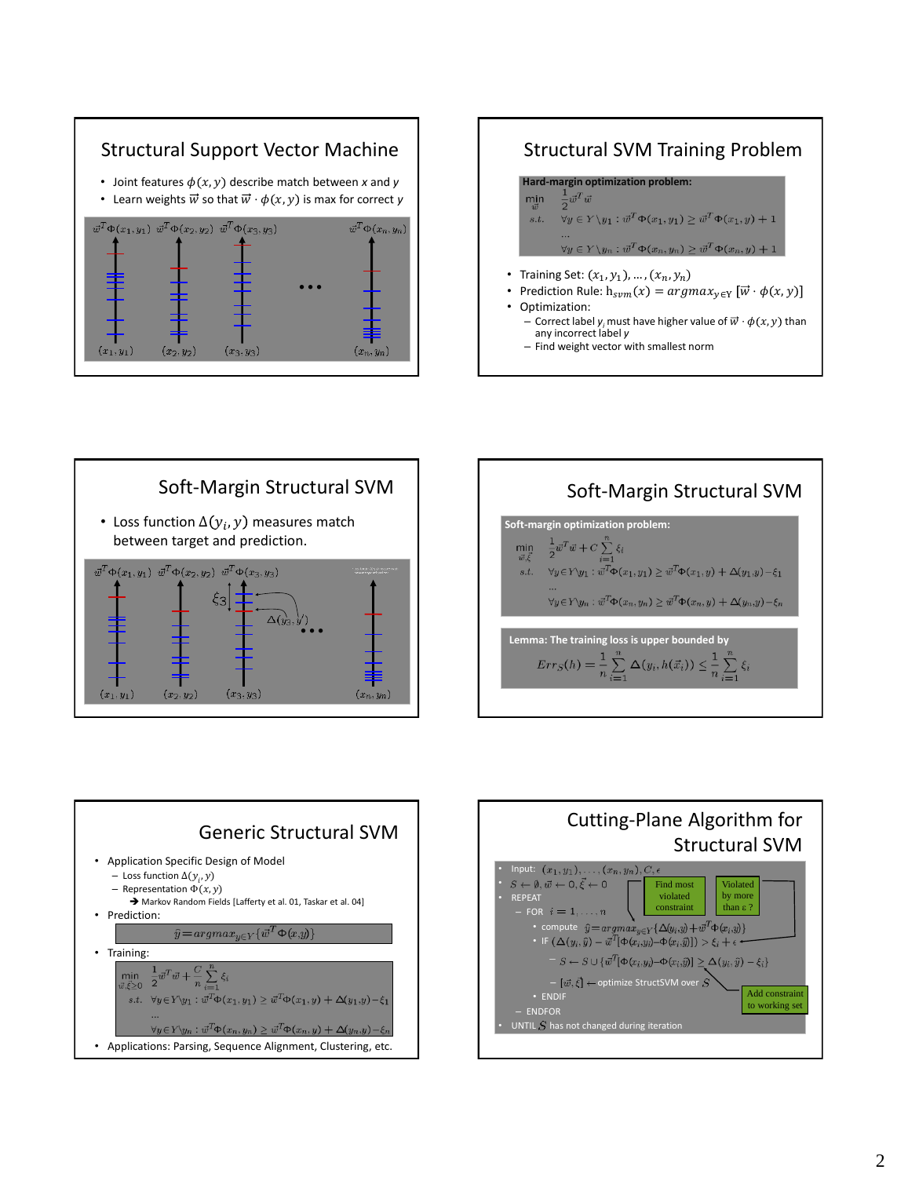

#### Structural SVM Training Problem **Hard-margin optimization problem:**<br> $\min_{\vec{w}} \quad \frac{1}{2} \vec{w}^T \vec{w}$ min  $\overline{\forall y \in Y \setminus y_1 : \overline{w}^T \Phi(x_1, y_1) \geq \overline{w}^T \Phi(x_1, y) + 1}$  $s.t.$  $\forall y \in Y \setminus y_n : \vec{w}^T \Phi(x_n, y_n) \geq \vec{w}^T \Phi(x_n, y) + 1$ • Training Set:  $(x_1, y_1)$ , ...,  $(x_n, y_n)$ Prediction Rule:  $h_{sym}(x) = argmax_{y \in Y} [\vec{w} \cdot \phi(x, y)]$ • Optimization: – Correct label *y<sub>i</sub>* must have higher value of  $\vec{w} \cdot \phi(x, y)$  than any incorrect label *y* – Find weight vector with smallest norm







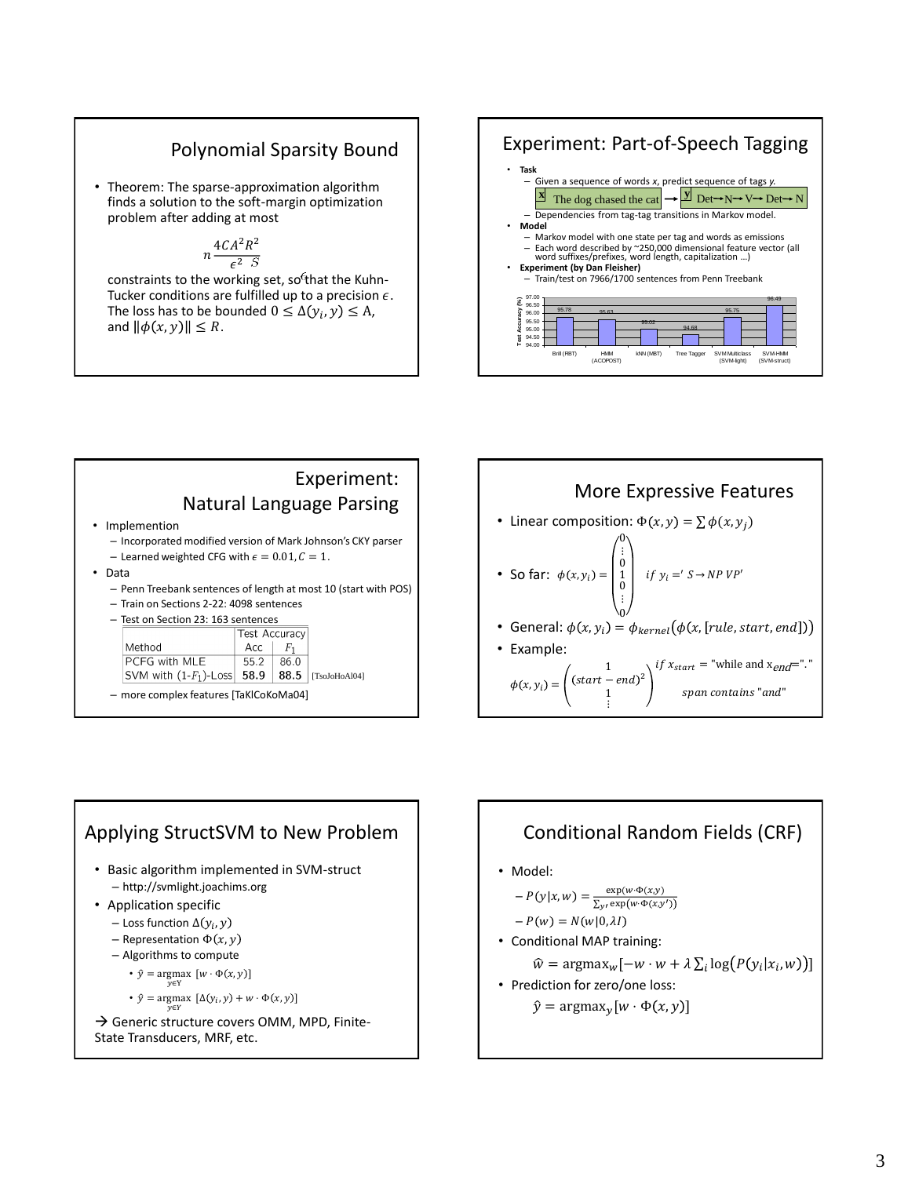#### Polynomial Sparsity Bound

• Theorem: The sparse-approximation algorithm finds a solution to the soft-margin optimization problem after adding at most

$$
n \frac{4CA^2R^2}{\epsilon^2 \cdot S}
$$

constraints to the working set, so<sup>f</sup>that the Kuhn-Tucker conditions are fulfilled up to a precision  $\epsilon$ . The loss has to be bounded  $0 \leq \Delta(y_i, y) \leq A$ , and  $\|\phi(x, y)\| \leq R$ .



#### Experiment: Natural Language Parsing • Implemention – Incorporated modified version of Mark Johnson's CKY parser - Learned weighted CFG with  $\epsilon = 0.01, C = 1$ . • Data – Penn Treebank sentences of length at most 10 (start with POS)

- Train on Sections 2-22: 4098 sentences
- Test on Section 23: 163 sentences

| 1030 OH JOCHOH 43. 103 SCHICHCOS |               |                |                      |
|----------------------------------|---------------|----------------|----------------------|
|                                  | Test Accuracy |                |                      |
| Method                           | Acc           | F <sub>1</sub> |                      |
| PCFG with MLE                    | 55.2          | 86.0           |                      |
| SVM with $(1-F_1)$ -Loss 58.9    |               |                | $88.5$ [TsoJoHoAl04] |

– more complex features [TaKlCoKoMa04]





## Conditional Random Fields (CRF)

• Model:

$$
-P(y|x,w) = \frac{\exp(w \cdot \Phi(x,y))}{\sum_{y \in \exp(w \cdot \Phi(x,y'))}}
$$

$$
-P(w) = N(w|0, \lambda I)
$$

- Conditional MAP training:  $\widehat{w} = \text{argmax}_{w} [-w \cdot w + \lambda \sum_{i} \log(P(y_i|x_i, w))]$
- Prediction for zero/one loss:

$$
\hat{y} = \text{argmax}_{y} [w \cdot \Phi(x, y)]
$$